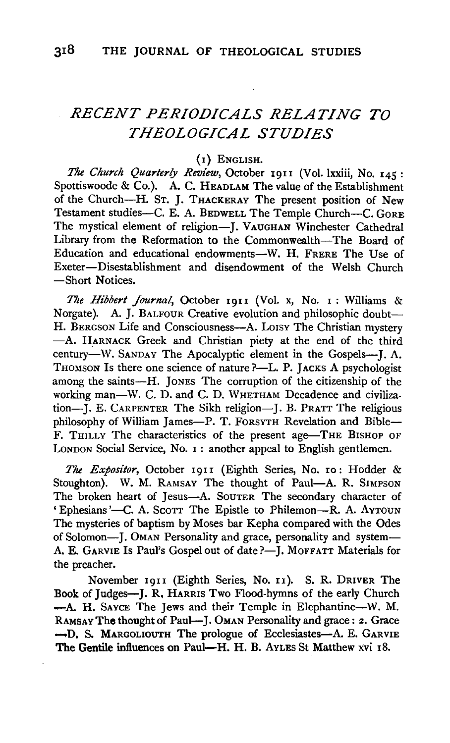# *RECENT PERIODICALS RELATING TO THEOLOGICAL STUDIES*

## (I) ENGLISH.

*The Church Quarterly Review,* October 1911 (Vol. lxxiii, No. 145: Spottiswoode & Co.). A. C. HEADLAM The value of the Establishment of the Church-H. ST. J. THACKERAY The present position of New Testament studies-C. E. A. BEDWELL The Temple Church-C. GORE The mystical element of religion-J. VAUGHAN Winchester Cathedral Library from the Reformation to the Commonwealth-The Board of Education and educational endowments-W. H. FRERE The Use of Exeter-Disestablishment and disendowment of the Welsh Church -Short Notices.

*The Hibbert Journal,* October I911 (Vol. x, No. I : Williams & Norgate). A. J. BALFOUR Creative evolution and philosophic doubt-H. BERGSON Life and Consciousness-A. Loisy The Christian mystery -A. HARNACK Greek and Christian piety at the end of the third century-W. SANDAY The Apocalyptic element in the Gospels-I. A. THOMSON Is there one science of nature ?-L. P. JACKS A psychologist among the saints-H. JONES The corruption of the citizenship of the working man-W. C. D. and C. D. WHETHAM Decadence and civilization--I. E. CARPENTER The Sikh religion--I. B. PRATT The religious philosophy of William James-P. T. FORSYTH Revelation and Bible-F. THILLY The characteristics of the present age-THE BISHOP OF LONDON Social Service, No. 1: another appeal to English gentlemen.

*The Expositor,* October I911 (Eighth Series, No. 10: Hodder & Stoughton). W. M. RAMSAY The thought of Paul-A. R. SIMPSON The broken heart of Jesus-A. Souter The secondary character of 'Ephesians'-C. A. Scorr The Epistle to Philemon-R. A. Avroun The mysteries of baptism by Moses bar Kepha compared with the Odes of Solomon-J. OMAN Personality and grace, personality and system-A. E. GARVIE Is Paul's Gospel out of date ?- J. MOFFATT Materials for the preacher.

November 1911 (Eighth Series, No. 11). S. R. DRIVER The Book of Judges-J. R, HARRIS Two Flood-hymns of the early Church -A. H. SAYCE The Jews and their Temple in Elephantine-W. M. RAMSAY The thought of Paul-J. OMAN Personality and grace: 2. Grace -D. S. MARGOLIOUTH The prologue of Ecclesiastes-A. E. GARVIE The Gentile influences on Paul—H. H. B. AyLES St Matthew xvi 18.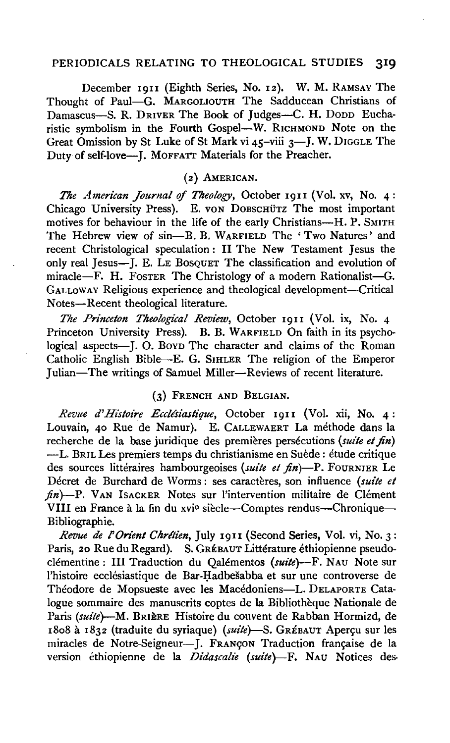### PERIODICALS RELATING TO THEOLOGICAL STUDIES 319

December I9II (Eighth Series, No. I2). W. M. RAMSAY The Thought of Paul-G. MARGOLIOUTH The Sadducean Christians of Damascus-S. R. DRIVER The Book of Judges-C. H. Dopp Eucharistic symbolism in the Fourth Gospel-W. RICHMOND Note on the Great Omission by St Luke of St Mark vi  $45$ -viii  $3$ -I. W. DIGGLE The Duty of self-love-J. MOFFATT Materials for the Preacher.

### ( 2} AMERICAN.

*The American Jounzal* of *Theology,* October I9II (Vol. xv, No. 4: Chicago University Press). E. von DoBSCHUTZ The most important motives for behaviour in the life of the early Christians-H. P. SMITH The Hebrew view of sin-B. B. WARFIELD The 'Two Natures' and recent Christological speculation: II The New Testament Jesus the only real Jesus-J. E. LE BosQUET The classification and evolution of miracle-F. H. Foster The Christology of a modern Rationalist-G. GALLOWAY Religious experience and theological development-Critical Notes-Recent theological literature.

*The Pn'nceton Theological Review,* October I9II (Vol. ix, No. 4 Princeton University Press). B. B. WARFIELD On faith in its psychological aspects-J. O. BovD The character and claims of the Roman Catholic English Bible-E. G. SIHLER The religion of the Emperor Julian-The writings of Samuel Miller-Reviews of recent literature.

#### (3) FRENCH AND BELGIAN.

*Revue d'Histoire Ecclésiastique*, October 1911 (Vol. xii, No. 4: Louvain, 40 Rue de Namur). E. CALLEWAERT La méthode dans la recherche de la base juridique des premières persécutions (suite et fin) -L. BRIL Les premiers temps du christianisme en Suède : étude critique des sources littéraires hambourgeoises *(suite et fin*)-P. FOURNIER Le Décret de Burchard de Worms: ses caractères, son influence (suite et  $f(n)$ -P. VAN ISACKER Notes sur l'intervention militaire de Clément VIII en France à la fin du xvie siècle—Comptes rendus—Chronique— Bibliographie.

*Revue de l'Onent Chrltien,* July 1911 (Second Series, Vol. vi, No. 3: Paris, 20 Rue du Regard). S. GRÉBAUT Littérature éthiopienne pseudoclémentine: III Traduction du Qalémentos (suite)--F. NAU Note sur l'histoire ecclésiastique de Bar-Hadbešabba et sur une controverse de Théodore de Mopsueste avec les Macédoniens-L. DELAPORTE Catalogue sommaire des manuscrits coptes de la Bibliotheque Nationale de Paris *(suite*)-M. BRIERE Histoire du couvent de Rabban Hormizd, de 1808 à 1832 (traduite du syriaque) (suite)-S. GRÉBAUT Aperçu sur les miracles de Notre-Seigneur-J. FRANCON Traduction française de la version éthiopienne de la *Didascalie (suite*)-F. NAU Notices des-